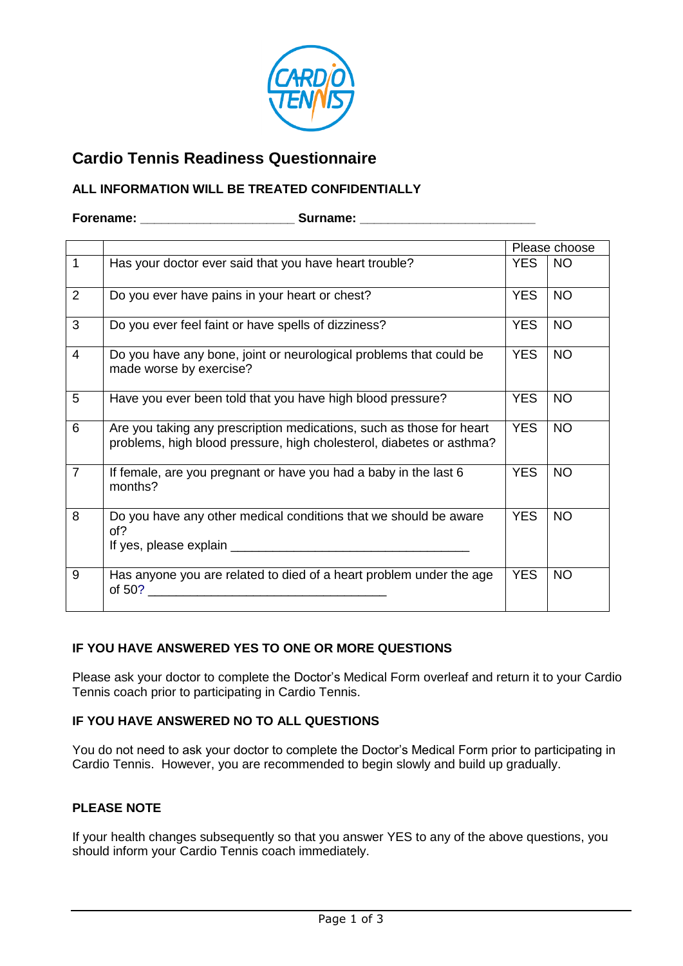

# **Cardio Tennis Readiness Questionnaire**

## **ALL INFORMATION WILL BE TREATED CONFIDENTIALLY**

#### **Forename: Computer Surname: Computer Surname: Computer Surname: Computer Surname: Computer** Surname: **Computer** Surname: **Computer** Surname: **Computer** Surname: **Computer** Surname: **Computer** Surname: **Computer**

|                |                                                                                                                                              | Please choose |           |
|----------------|----------------------------------------------------------------------------------------------------------------------------------------------|---------------|-----------|
| $\mathbf{1}$   | Has your doctor ever said that you have heart trouble?                                                                                       | <b>YES</b>    | <b>NO</b> |
| 2              | Do you ever have pains in your heart or chest?                                                                                               | <b>YES</b>    | <b>NO</b> |
| 3              | Do you ever feel faint or have spells of dizziness?                                                                                          | <b>YES</b>    | <b>NO</b> |
| $\overline{4}$ | Do you have any bone, joint or neurological problems that could be<br>made worse by exercise?                                                | <b>YES</b>    | <b>NO</b> |
| 5              | Have you ever been told that you have high blood pressure?                                                                                   | <b>YES</b>    | <b>NO</b> |
| 6              | Are you taking any prescription medications, such as those for heart<br>problems, high blood pressure, high cholesterol, diabetes or asthma? | <b>YES</b>    | <b>NO</b> |
| $\overline{7}$ | If female, are you pregnant or have you had a baby in the last 6<br>months?                                                                  | <b>YES</b>    | <b>NO</b> |
| 8              | Do you have any other medical conditions that we should be aware<br>of?<br>If yes, please explain                                            | <b>YES</b>    | <b>NO</b> |
| 9              | Has anyone you are related to died of a heart problem under the age<br>of 50?                                                                | <b>YES</b>    | <b>NO</b> |

# **IF YOU HAVE ANSWERED YES TO ONE OR MORE QUESTIONS**

Please ask your doctor to complete the Doctor's Medical Form overleaf and return it to your Cardio Tennis coach prior to participating in Cardio Tennis.

## **IF YOU HAVE ANSWERED NO TO ALL QUESTIONS**

You do not need to ask your doctor to complete the Doctor's Medical Form prior to participating in Cardio Tennis. However, you are recommended to begin slowly and build up gradually.

## **PLEASE NOTE**

If your health changes subsequently so that you answer YES to any of the above questions, you should inform your Cardio Tennis coach immediately.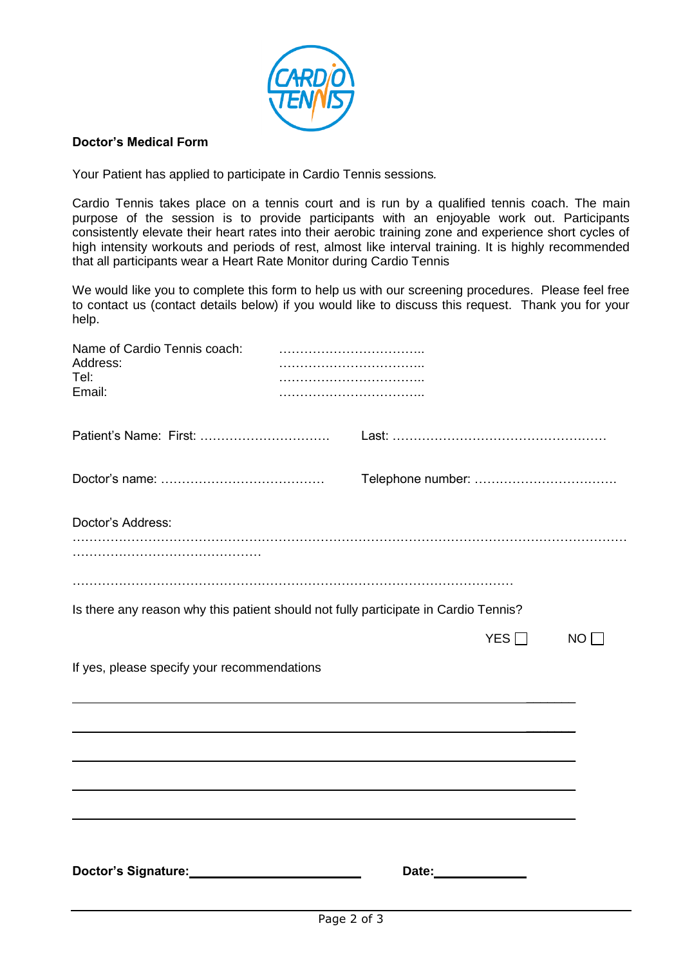

#### **Doctor's Medical Form**

Your Patient has applied to participate in Cardio Tennis sessions*.*

Cardio Tennis takes place on a tennis court and is run by a qualified tennis coach. The main purpose of the session is to provide participants with an enjoyable work out. Participants consistently elevate their heart rates into their aerobic training zone and experience short cycles of high intensity workouts and periods of rest, almost like interval training. It is highly recommended that all participants wear a Heart Rate Monitor during Cardio Tennis

We would like you to complete this form to help us with our screening procedures. Please feel free to contact us (contact details below) if you would like to discuss this request. Thank you for your help.

| Name of Cardio Tennis coach:<br>Address:<br>Tel:<br>Email:                          |  |                             |     |    |
|-------------------------------------------------------------------------------------|--|-----------------------------|-----|----|
|                                                                                     |  |                             |     |    |
|                                                                                     |  |                             |     |    |
| Doctor's Address:                                                                   |  |                             |     |    |
| Is there any reason why this patient should not fully participate in Cardio Tennis? |  |                             |     |    |
| If yes, please specify your recommendations                                         |  |                             | YES | NO |
|                                                                                     |  |                             |     |    |
|                                                                                     |  |                             |     |    |
| Doctor's Signature:<br><u>Doctor's Signature:</u>                                   |  | Date: <u>______________</u> |     |    |